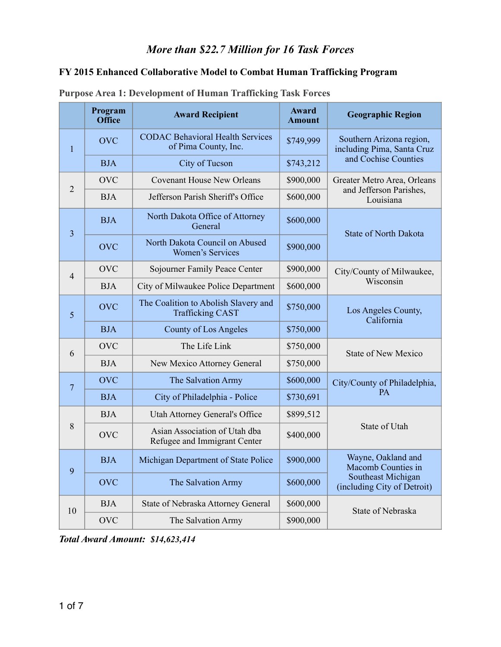#### *More than \$22.7 Million for 16 Task Forces*

# **FY 2015 Enhanced Collaborative Model to Combat Human Trafficking Program**

|                         | Program<br><b>Office</b> | <b>Award Recipient</b>                                          | Award<br><b>Amount</b> | <b>Geographic Region</b>                               |  |
|-------------------------|--------------------------|-----------------------------------------------------------------|------------------------|--------------------------------------------------------|--|
| $\mathbf{1}$            | <b>OVC</b>               | <b>CODAC Behavioral Health Services</b><br>of Pima County, Inc. | \$749,999              | Southern Arizona region,<br>including Pima, Santa Cruz |  |
|                         | <b>BJA</b>               | City of Tucson                                                  | \$743,212              | and Cochise Counties                                   |  |
| $\overline{2}$          | <b>OVC</b>               | <b>Covenant House New Orleans</b>                               | \$900,000              | Greater Metro Area, Orleans                            |  |
|                         | <b>BJA</b>               | Jefferson Parish Sheriff's Office                               | \$600,000              | and Jefferson Parishes,<br>Louisiana                   |  |
| $\overline{\mathbf{3}}$ | <b>BJA</b>               | North Dakota Office of Attorney<br>General                      | \$600,000              | <b>State of North Dakota</b>                           |  |
|                         | <b>OVC</b>               | North Dakota Council on Abused<br><b>Women's Services</b>       | \$900,000              |                                                        |  |
| $\overline{4}$          | <b>OVC</b>               | Sojourner Family Peace Center                                   | \$900,000              | City/County of Milwaukee,                              |  |
|                         | <b>BJA</b>               | City of Milwaukee Police Department                             | \$600,000              | Wisconsin                                              |  |
| 5                       | <b>OVC</b>               | The Coalition to Abolish Slavery and<br><b>Trafficking CAST</b> | \$750,000              | Los Angeles County,<br>California                      |  |
|                         | <b>BJA</b>               | County of Los Angeles                                           | \$750,000              |                                                        |  |
| 6                       | <b>OVC</b>               | The Life Link                                                   | \$750,000              | <b>State of New Mexico</b>                             |  |
|                         | <b>BJA</b>               | New Mexico Attorney General                                     | \$750,000              |                                                        |  |
| $\overline{7}$          | <b>OVC</b>               | The Salvation Army                                              | \$600,000              | City/County of Philadelphia,                           |  |
|                         | <b>BJA</b>               | City of Philadelphia - Police                                   | \$730,691              | PA                                                     |  |
|                         | <b>BJA</b>               | Utah Attorney General's Office                                  | \$899,512              |                                                        |  |
| 8                       | <b>OVC</b>               | Asian Association of Utah dba<br>Refugee and Immigrant Center   | \$400,000              | State of Utah                                          |  |
| 9                       | <b>BJA</b>               | Michigan Department of State Police                             | \$900,000              | Wayne, Oakland and<br>Macomb Counties in               |  |
|                         | <b>OVC</b>               | The Salvation Army                                              | \$600,000              | Southeast Michigan<br>(including City of Detroit)      |  |
| 10                      | <b>BJA</b>               | State of Nebraska Attorney General                              | \$600,000              | State of Nebraska                                      |  |
|                         | <b>OVC</b>               | The Salvation Army                                              | \$900,000              |                                                        |  |

#### **Purpose Area 1: Development of Human Trafficking Task Forces**

*Total Award Amount: \$14,623,414*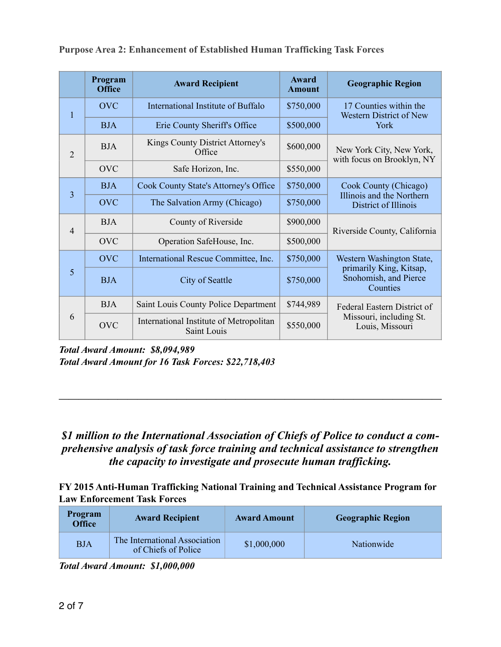|                | Program<br><b>Office</b> | <b>Award Recipient</b>                                 | Award<br><b>Amount</b>             | <b>Geographic Region</b>                                     |  |
|----------------|--------------------------|--------------------------------------------------------|------------------------------------|--------------------------------------------------------------|--|
| 1              | <b>OVC</b>               | International Institute of Buffalo                     | \$750,000                          | 17 Counties within the<br>Western District of New            |  |
|                | <b>BJA</b>               | Erie County Sheriff's Office                           | \$500,000                          | York                                                         |  |
| 2              | <b>BJA</b>               | Kings County District Attorney's<br>Office             | \$600,000                          | New York City, New York,<br>with focus on Brooklyn, NY       |  |
|                | <b>OVC</b>               | Safe Horizon, Inc.                                     | \$550,000                          |                                                              |  |
| $\overline{3}$ | <b>BJA</b>               | <b>Cook County State's Attorney's Office</b>           | \$750,000<br>Cook County (Chicago) |                                                              |  |
|                | <b>OVC</b>               | The Salvation Army (Chicago)                           | \$750,000                          | Illinois and the Northern<br>District of Illinois            |  |
| $\overline{4}$ | <b>BJA</b>               | County of Riverside                                    | \$900,000                          | Riverside County, California                                 |  |
|                | <b>OVC</b>               | Operation SafeHouse, Inc.                              | \$500,000                          |                                                              |  |
|                | <b>OVC</b>               | International Rescue Committee, Inc.                   | \$750,000                          | Western Washington State,                                    |  |
| 5              | <b>BJA</b>               | City of Seattle                                        | \$750,000                          | primarily King, Kitsap,<br>Snohomish, and Pierce<br>Counties |  |
|                | <b>BJA</b>               | Saint Louis County Police Department                   | \$744,989                          | Federal Eastern District of                                  |  |
| 6              | <b>OVC</b>               | International Institute of Metropolitan<br>Saint Louis | \$550,000                          | Missouri, including St.<br>Louis, Missouri                   |  |

**Purpose Area 2: Enhancement of Established Human Trafficking Task Forces**

*Total Award Amount: \$8,094,989 Total Award Amount for 16 Task Forces: \$22,718,403* 

### *\$1 million to the International Association of Chiefs of Police to conduct a comprehensive analysis of task force training and technical assistance to strengthen the capacity to investigate and prosecute human trafficking.*

*———————————————————————————————————————* 

**FY 2015 Anti-Human Trafficking National Training and Technical Assistance Program for Law Enforcement Task Forces** 

| Program<br><b>Office</b> | <b>Award Recipient</b>                               | <b>Award Amount</b> | <b>Geographic Region</b> |
|--------------------------|------------------------------------------------------|---------------------|--------------------------|
| <b>BJA</b>               | The International Association<br>of Chiefs of Police | \$1,000,000         | Nationwide               |

*Total Award Amount: \$1,000,000*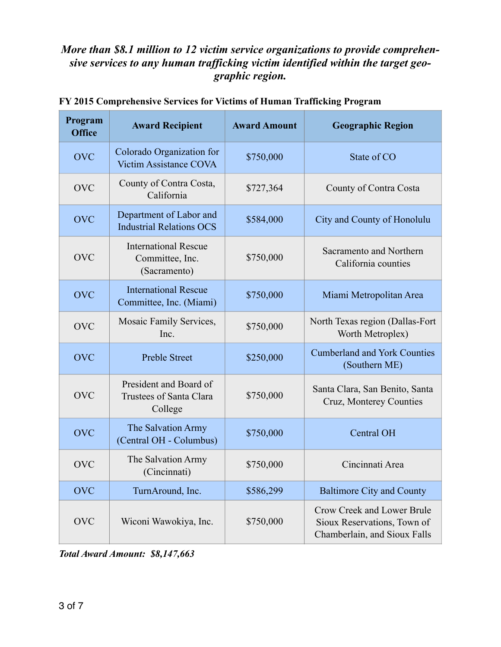### *More than \$8.1 million to 12 victim service organizations to provide comprehensive services to any human trafficking victim identified within the target geographic region.*

| Program<br><b>Office</b> | <b>Award Recipient</b>                                         | <b>Award Amount</b> | <b>Geographic Region</b>                                                                  |
|--------------------------|----------------------------------------------------------------|---------------------|-------------------------------------------------------------------------------------------|
| <b>OVC</b>               | Colorado Organization for<br><b>Victim Assistance COVA</b>     | \$750,000           | State of CO                                                                               |
| <b>OVC</b>               | County of Contra Costa,<br>California                          | \$727,364           | County of Contra Costa                                                                    |
| <b>OVC</b>               | Department of Labor and<br><b>Industrial Relations OCS</b>     | \$584,000           | City and County of Honolulu                                                               |
| <b>OVC</b>               | <b>International Rescue</b><br>Committee, Inc.<br>(Sacramento) | \$750,000           | Sacramento and Northern<br>California counties                                            |
| <b>OVC</b>               | <b>International Rescue</b><br>Committee, Inc. (Miami)         | \$750,000           | Miami Metropolitan Area                                                                   |
| <b>OVC</b>               | Mosaic Family Services,<br>Inc.                                | \$750,000           | North Texas region (Dallas-Fort<br>Worth Metroplex)                                       |
| <b>OVC</b>               | <b>Preble Street</b>                                           | \$250,000           | <b>Cumberland and York Counties</b><br>(Southern ME)                                      |
| <b>OVC</b>               | President and Board of<br>Trustees of Santa Clara<br>College   | \$750,000           | Santa Clara, San Benito, Santa<br>Cruz, Monterey Counties                                 |
| <b>OVC</b>               | The Salvation Army<br>(Central OH - Columbus)                  | \$750,000           | Central OH                                                                                |
| <b>OVC</b>               | The Salvation Army<br>(Cincinnati)                             | \$750,000           | Cincinnati Area                                                                           |
| <b>OVC</b>               | TurnAround, Inc.                                               | \$586,299           | <b>Baltimore City and County</b>                                                          |
| <b>OVC</b>               | Wiconi Wawokiya, Inc.                                          | \$750,000           | Crow Creek and Lower Brule<br>Sioux Reservations, Town of<br>Chamberlain, and Sioux Falls |

#### **FY 2015 Comprehensive Services for Victims of Human Trafficking Program**

*Total Award Amount: \$8,147,663*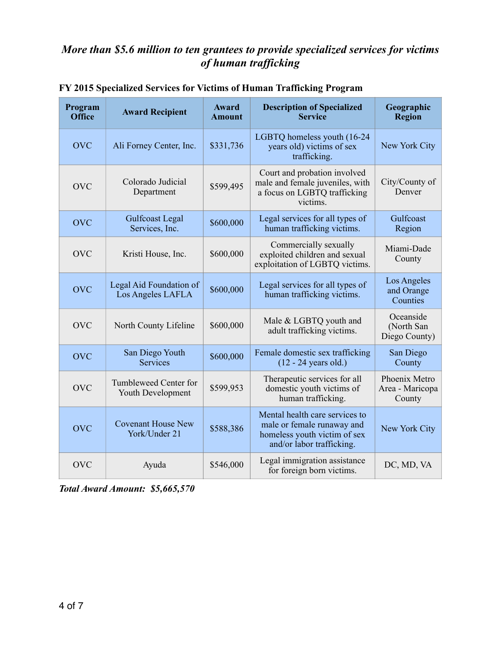# *More than \$5.6 million to ten grantees to provide specialized services for victims of human trafficking*

| Program<br><b>Office</b> | <b>Award Recipient</b>                       | <b>Award</b><br><b>Amount</b> | <b>Description of Specialized</b><br><b>Service</b>                                                                       | Geographic<br><b>Region</b>                |
|--------------------------|----------------------------------------------|-------------------------------|---------------------------------------------------------------------------------------------------------------------------|--------------------------------------------|
| <b>OVC</b>               | Ali Forney Center, Inc.                      | \$331,736                     | LGBTQ homeless youth (16-24)<br>years old) victims of sex<br>trafficking.                                                 | New York City                              |
| <b>OVC</b>               | Colorado Judicial<br>Department              | \$599,495                     | Court and probation involved<br>male and female juveniles, with<br>a focus on LGBTQ trafficking<br>victims.               | City/County of<br>Denver                   |
| <b>OVC</b>               | Gulfcoast Legal<br>Services, Inc.            | \$600,000                     | Legal services for all types of<br>human trafficking victims.                                                             | Gulfcoast<br>Region                        |
| <b>OVC</b>               | Kristi House, Inc.                           | \$600,000                     | Commercially sexually<br>exploited children and sexual<br>exploitation of LGBTQ victims.                                  | Miami-Dade<br>County                       |
| <b>OVC</b>               | Legal Aid Foundation of<br>Los Angeles LAFLA | \$600,000                     | Legal services for all types of<br>human trafficking victims.                                                             | Los Angeles<br>and Orange<br>Counties      |
| <b>OVC</b>               | North County Lifeline                        | \$600,000                     | Male & LGBTQ youth and<br>adult trafficking victims.                                                                      | Oceanside<br>(North San<br>Diego County)   |
| <b>OVC</b>               | San Diego Youth<br><b>Services</b>           | \$600,000                     | Female domestic sex trafficking<br>$(12 - 24$ years old.)                                                                 | San Diego<br>County                        |
| <b>OVC</b>               | Tumbleweed Center for<br>Youth Development   | \$599,953                     | Therapeutic services for all<br>domestic youth victims of<br>human trafficking.                                           | Phoenix Metro<br>Area - Maricopa<br>County |
| <b>OVC</b>               | <b>Covenant House New</b><br>York/Under 21   | \$588,386                     | Mental health care services to<br>male or female runaway and<br>homeless youth victim of sex<br>and/or labor trafficking. | New York City                              |
| <b>OVC</b>               | Ayuda                                        | \$546,000                     | Legal immigration assistance<br>for foreign born victims.                                                                 | DC, MD, VA                                 |

|  |  |  |  | FY 2015 Specialized Services for Victims of Human Trafficking Program |  |
|--|--|--|--|-----------------------------------------------------------------------|--|
|  |  |  |  |                                                                       |  |

*Total Award Amount: \$5,665,570*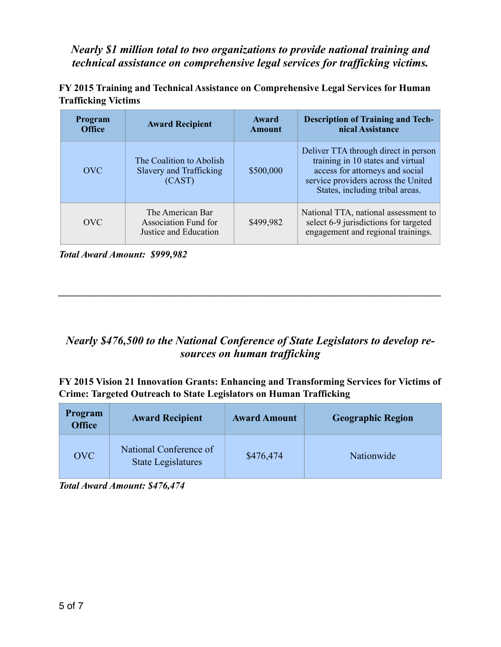*Nearly \$1 million total to two organizations to provide national training and technical assistance on comprehensive legal services for trafficking victims.*

| <b>Program</b><br><b>Office</b> | <b>Award Recipient</b>                                                   | Award<br><b>Amount</b> | <b>Description of Training and Tech-</b><br>nical Assistance                                                                                                                           |
|---------------------------------|--------------------------------------------------------------------------|------------------------|----------------------------------------------------------------------------------------------------------------------------------------------------------------------------------------|
| <b>OVC</b>                      | The Coalition to Abolish<br>Slavery and Trafficking<br>(CAST)            | \$500,000              | Deliver TTA through direct in person<br>training in 10 states and virtual<br>access for attorneys and social<br>service providers across the United<br>States, including tribal areas. |
| OVC                             | The American Bar<br><b>Association Fund for</b><br>Justice and Education | \$499,982              | National TTA, national assessment to<br>select 6-9 jurisdictions for targeted<br>engagement and regional trainings.                                                                    |

**FY 2015 Training and Technical Assistance on Comprehensive Legal Services for Human Trafficking Victims**

*Total Award Amount: \$999,982* 

## *Nearly \$476,500 to the National Conference of State Legislators to develop resources on human trafficking*

 $\mathcal{L} = \{ \mathcal{L} \mathcal{L} \mathcal{L} \mathcal{L} \mathcal{L} \mathcal{L} \mathcal{L} \mathcal{L} \mathcal{L} \mathcal{L} \mathcal{L} \mathcal{L} \mathcal{L} \mathcal{L} \mathcal{L} \mathcal{L} \mathcal{L} \mathcal{L} \mathcal{L} \mathcal{L} \mathcal{L} \mathcal{L} \mathcal{L} \mathcal{L} \mathcal{L} \mathcal{L} \mathcal{L} \mathcal{L} \mathcal{L} \mathcal{L} \mathcal{L} \mathcal{L} \mathcal{L} \mathcal{L} \mathcal{L} \$ 

**FY 2015 Vision 21 Innovation Grants: Enhancing and Transforming Services for Victims of Crime: Targeted Outreach to State Legislators on Human Trafficking** 

| <b>Program</b><br><b>Office</b> | <b>Award Recipient</b>                              | <b>Award Amount</b> | <b>Geographic Region</b> |
|---------------------------------|-----------------------------------------------------|---------------------|--------------------------|
| <b>OVC</b>                      | National Conference of<br><b>State Legislatures</b> | \$476,474           | Nationwide               |

*Total Award Amount: \$476,474*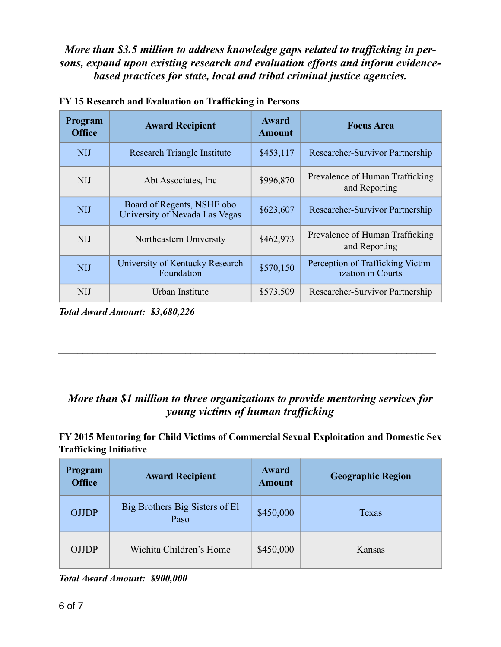*More than \$3.5 million to address knowledge gaps related to trafficking in persons, expand upon existing research and evaluation efforts and inform evidencebased practices for state, local and tribal criminal justice agencies.*

| Program<br><b>Office</b> | <b>Award Recipient</b>                                       | Award<br><b>Amount</b> | <b>Focus Area</b>                                      |
|--------------------------|--------------------------------------------------------------|------------------------|--------------------------------------------------------|
| <b>NIJ</b>               | Research Triangle Institute                                  | \$453,117              | Researcher-Survivor Partnership                        |
| <b>NIJ</b>               | Abt Associates, Inc.                                         | \$996,870              | Prevalence of Human Trafficking<br>and Reporting       |
| <b>NIJ</b>               | Board of Regents, NSHE obo<br>University of Nevada Las Vegas | \$623,607              | Researcher-Survivor Partnership                        |
| <b>NIJ</b>               | Northeastern University                                      | \$462,973              | Prevalence of Human Trafficking<br>and Reporting       |
| <b>NIJ</b>               | University of Kentucky Research<br>Foundation                | \$570,150              | Perception of Trafficking Victim-<br>ization in Courts |
| <b>NIJ</b>               | Urban Institute                                              | \$573,509              | Researcher-Survivor Partnership                        |

*Total Award Amount: \$3,680,226* 

# *More than \$1 million to three organizations to provide mentoring services for young victims of human trafficking*

*\_\_\_\_\_\_\_\_\_\_\_\_\_\_\_\_\_\_\_\_\_\_\_\_\_\_\_\_\_\_\_\_\_\_\_\_\_\_\_\_\_\_\_\_\_\_\_\_\_\_\_\_\_\_\_\_\_\_\_\_\_\_\_\_\_\_\_\_\_\_\_\_\_\_\_\_\_* 

#### **FY 2015 Mentoring for Child Victims of Commercial Sexual Exploitation and Domestic Sex Trafficking Initiative**

| Program<br><b>Office</b> | <b>Award Recipient</b>                 | Award<br><b>Amount</b> | <b>Geographic Region</b> |
|--------------------------|----------------------------------------|------------------------|--------------------------|
| <b>OJJDP</b>             | Big Brothers Big Sisters of El<br>Paso | \$450,000              | Texas                    |
| <b>OJJDP</b>             | Wichita Children's Home                | \$450,000              | Kansas                   |

*Total Award Amount: \$900,000*